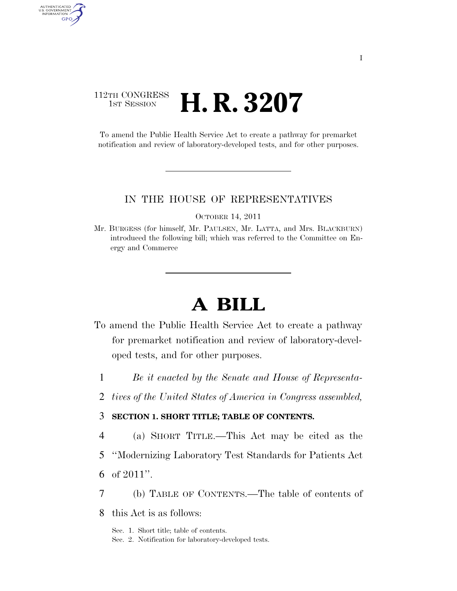# 112TH CONGRESS **1st Session H. R. 3207**

AUTHENTICATED<br>U.S. GOVERNMENT<br>INFORMATION

GPO

To amend the Public Health Service Act to create a pathway for premarket notification and review of laboratory-developed tests, and for other purposes.

#### IN THE HOUSE OF REPRESENTATIVES

OCTOBER 14, 2011

Mr. BURGESS (for himself, Mr. PAULSEN, Mr. LATTA, and Mrs. BLACKBURN) introduced the following bill; which was referred to the Committee on Energy and Commerce

# **A BILL**

- To amend the Public Health Service Act to create a pathway for premarket notification and review of laboratory-developed tests, and for other purposes.
	- 1 *Be it enacted by the Senate and House of Representa-*
	- 2 *tives of the United States of America in Congress assembled,*

### 3 **SECTION 1. SHORT TITLE; TABLE OF CONTENTS.**

- 4 (a) SHORT TITLE.—This Act may be cited as the
- 5 ''Modernizing Laboratory Test Standards for Patients Act
- 6 of 2011''.
- 7 (b) TABLE OF CONTENTS.—The table of contents of
- 8 this Act is as follows:

Sec. 1. Short title; table of contents. Sec. 2. Notification for laboratory-developed tests.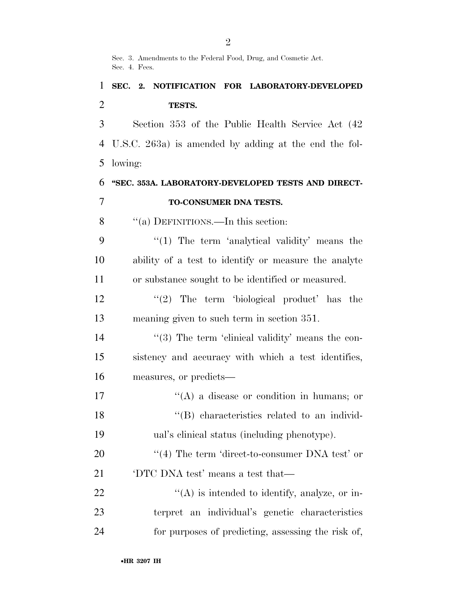Sec. 3. Amendments to the Federal Food, Drug, and Cosmetic Act. Sec. 4. Fees.

# **SEC. 2. NOTIFICATION FOR LABORATORY-DEVELOPED TESTS.**

 Section 353 of the Public Health Service Act (42 U.S.C. 263a) is amended by adding at the end the fol-lowing:

**''SEC. 353A. LABORATORY-DEVELOPED TESTS AND DIRECT-**

## **TO-CONSUMER DNA TESTS.**

8 "(a) DEFINITIONS.—In this section:

9 "(1) The term 'analytical validity' means the ability of a test to identify or measure the analyte or substance sought to be identified or measured.

12 ''(2) The term 'biological product' has the meaning given to such term in section 351.

14 ''(3) The term 'clinical validity' means the con- sistency and accuracy with which a test identifies, measures, or predicts—

- 17 ''(A) a disease or condition in humans; or ''(B) characteristics related to an individ-ual's clinical status (including phenotype).
- 20  $\frac{4}{10}$  The term 'direct-to-consumer DNA test' or 'DTC DNA test' means a test that—
- 22  $\langle (A)$  is intended to identify, analyze, or in- terpret an individual's genetic characteristics for purposes of predicting, assessing the risk of,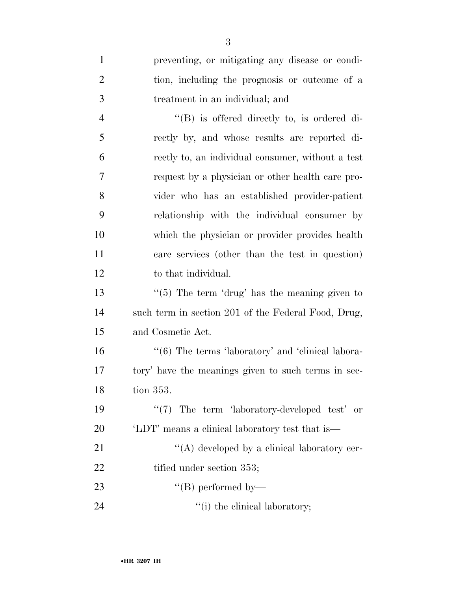| $\mathbf{1}$   | preventing, or mitigating any disease or condi-                   |
|----------------|-------------------------------------------------------------------|
| $\overline{2}$ | tion, including the prognosis or outcome of a                     |
| 3              | treatment in an individual; and                                   |
| $\overline{4}$ | $\lq\lq (B)$ is offered directly to, is ordered di-               |
| 5              | rectly by, and whose results are reported di-                     |
| 6              | rectly to, an individual consumer, without a test                 |
| 7              | request by a physician or other health care pro-                  |
| 8              | vider who has an established provider-patient                     |
| 9              | relationship with the individual consumer by                      |
| 10             | which the physician or provider provides health                   |
| 11             | care services (other than the test in question)                   |
| 12             | to that individual.                                               |
| 13             | " $(5)$ The term 'drug' has the meaning given to                  |
| 14             | such term in section 201 of the Federal Food, Drug,               |
| 15             | and Cosmetic Act.                                                 |
| 16             | $\cdot\cdot\cdot(6)$ The terms 'laboratory' and 'clinical labora- |
| 17             | tory' have the meanings given to such terms in sec-               |
| 18             | tion 353.                                                         |
| 19             | $\lq(7)$ The term 'laboratory-developed test' or                  |
| 20             | 'LDT' means a clinical laboratory test that is—                   |
| 21             | $\lq\lq$ developed by a clinical laboratory cer-                  |
| 22             | tified under section 353;                                         |
| 23             | $\lq\lq (B)$ performed by—                                        |
| 24             | "(i) the clinical laboratory;                                     |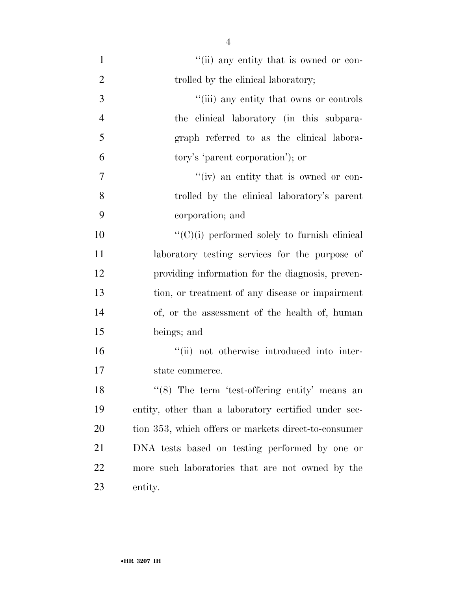| $\mathbf{1}$   | "(ii) any entity that is owned or con-               |
|----------------|------------------------------------------------------|
| $\overline{2}$ | trolled by the clinical laboratory;                  |
| 3              | "(iii) any entity that owns or controls              |
| $\overline{4}$ | the clinical laboratory (in this subpara-            |
| 5              | graph referred to as the clinical labora-            |
| 6              | tory's 'parent corporation'); or                     |
| 7              | "(iv) an entity that is owned or con-                |
| 8              | trolled by the clinical laboratory's parent          |
| 9              | corporation; and                                     |
| 10             | $\lq\lq$ (C)(i) performed solely to furnish clinical |
| 11             | laboratory testing services for the purpose of       |
| 12             | providing information for the diagnosis, preven-     |
| 13             | tion, or treatment of any disease or impairment      |
| 14             | of, or the assessment of the health of, human        |
| 15             | beings; and                                          |
| 16             | "(ii) not otherwise introduced into inter-           |
| 17             | state commerce.                                      |
| 18             | $(8)$ The term 'test-offering entity' means an       |
| 19             | entity, other than a laboratory certified under sec- |
| 20             | tion 353, which offers or markets direct-to-consumer |
| 21             | DNA tests based on testing performed by one or       |
| 22             | more such laboratories that are not owned by the     |
| 23             | entity.                                              |

•**HR 3207 IH**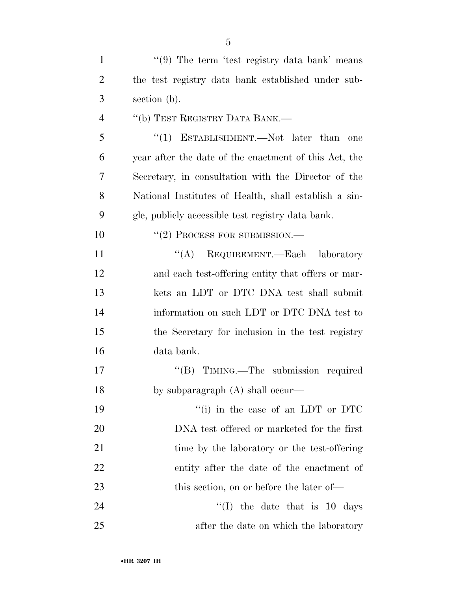| 1              | "(9) The term 'test registry data bank' means         |
|----------------|-------------------------------------------------------|
| $\overline{2}$ | the test registry data bank established under sub-    |
| 3              | section (b).                                          |
| $\overline{4}$ | "(b) TEST REGISTRY DATA BANK.—                        |
| 5              | "(1) ESTABLISHMENT.—Not later than<br>one             |
| 6              | year after the date of the enactment of this Act, the |
| 7              | Secretary, in consultation with the Director of the   |
| 8              | National Institutes of Health, shall establish a sin- |
| 9              | gle, publicly accessible test registry data bank.     |
| 10             | $``(2)$ PROCESS FOR SUBMISSION.—                      |
| 11             | ``(A)<br>REQUIREMENT.—Each laboratory                 |
| 12             | and each test-offering entity that offers or mar-     |
| 13             | kets an LDT or DTC DNA test shall submit              |
| 14             | information on such LDT or DTC DNA test to            |
| 15             | the Secretary for inclusion in the test registry      |
| 16             | data bank.                                            |
| 17             | "(B) TIMING.—The submission required                  |
| 18             | by subparagraph $(A)$ shall occur—                    |
| 19             | "(i) in the case of an LDT or DTC                     |
| 20             | DNA test offered or marketed for the first            |
| 21             | time by the laboratory or the test-offering           |
| <u>22</u>      | entity after the date of the enactment of             |
| 23             | this section, on or before the later of—              |
| 24             | $\lq\lq$ (I) the date that is 10 days                 |
| 25             | after the date on which the laboratory                |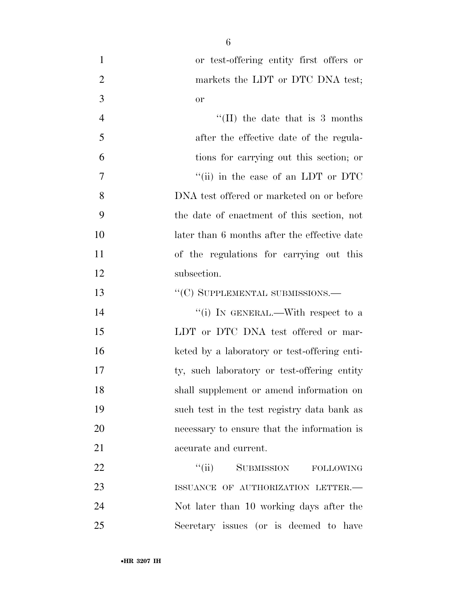or test-offering entity first offers or 2 markets the LDT or DTC DNA test; or 4 ''(II) the date that is 3 months after the effective date of the regula- tions for carrying out this section; or 7  $\frac{1}{10}$  in the case of an LDT or DTC DNA test offered or marketed on or before the date of enactment of this section, not 10 later than 6 months after the effective date of the regulations for carrying out this subsection. 13 "'(C) SUPPLEMENTAL SUBMISSIONS.— 14 ''(i) IN GENERAL.—With respect to a 15 LDT or DTC DNA test offered or mar- keted by a laboratory or test-offering enti-ty, such laboratory or test-offering entity

22 "'(ii) SUBMISSION FOLLOWING 23 ISSUANCE OF AUTHORIZATION LETTER. Not later than 10 working days after the Secretary issues (or is deemed to have

shall supplement or amend information on

such test in the test registry data bank as

necessary to ensure that the information is

accurate and current.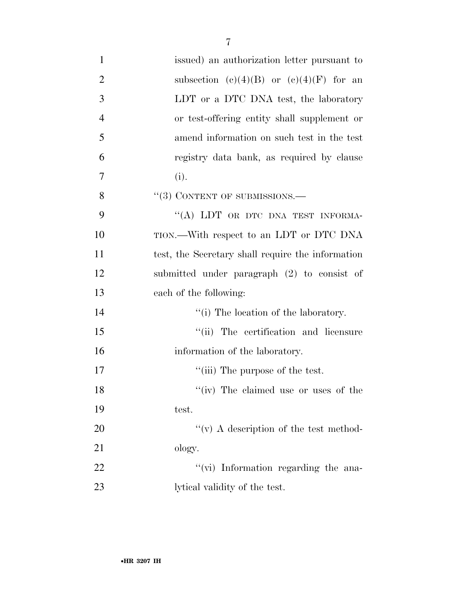| $\mathbf{1}$   | issued) an authorization letter pursuant to       |
|----------------|---------------------------------------------------|
| $\overline{2}$ | subsection (c)(4)(B) or (c)(4)(F) for an          |
| 3              | LDT or a DTC DNA test, the laboratory             |
| $\overline{4}$ | or test-offering entity shall supplement or       |
| 5              | amend information on such test in the test        |
| 6              | registry data bank, as required by clause         |
| 7              | (i).                                              |
| 8              | $``(3)$ CONTENT OF SUBMISSIONS.—                  |
| 9              | "(A) LDT OR DTC DNA TEST INFORMA-                 |
| 10             | TION.—With respect to an LDT or DTC DNA           |
| 11             | test, the Secretary shall require the information |
| 12             | submitted under paragraph (2) to consist of       |
| 13             | each of the following:                            |
| 14             | "(i) The location of the laboratory.              |
| 15             | "(ii) The certification and licensure             |
| 16             | information of the laboratory.                    |
| 17             | "(iii) The purpose of the test.                   |
| 18             | "(iv) The claimed use or uses of the              |
| 19             | test.                                             |
| 20             | "(v) A description of the test method-            |
| 21             | ology.                                            |
| 22             | "(vi) Information regarding the ana-              |
| 23             | lytical validity of the test.                     |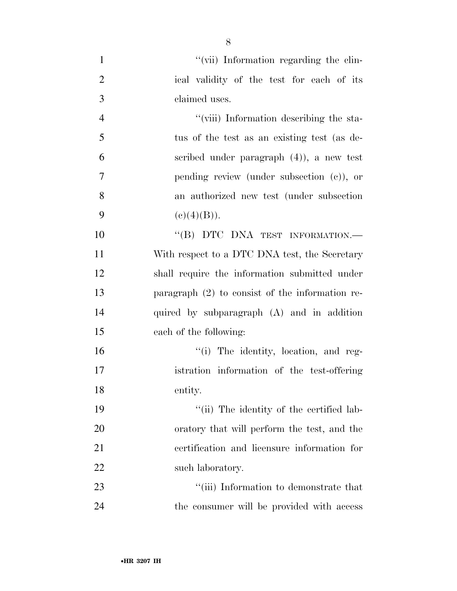| $\mathbf{1}$   | "(vii) Information regarding the clin-            |
|----------------|---------------------------------------------------|
| $\overline{2}$ | ical validity of the test for each of its         |
| $\mathfrak{Z}$ | claimed uses.                                     |
| $\overline{4}$ | "(viii) Information describing the sta-           |
| 5              | tus of the test as an existing test (as de-       |
| 6              | scribed under paragraph $(4)$ , a new test        |
| $\overline{7}$ | pending review (under subsection $(c)$ ), or      |
| 8              | an authorized new test (under subsection          |
| 9              | (c)(4)(B)).                                       |
| 10             | "(B) DTC DNA TEST INFORMATION.-                   |
| 11             | With respect to a DTC DNA test, the Secretary     |
| 12             | shall require the information submitted under     |
| 13             | paragraph $(2)$ to consist of the information re- |
| 14             | quired by subparagraph (A) and in addition        |
| 15             | each of the following:                            |
| 16             | "(i) The identity, location, and reg-             |
| 17             | istration information of the test-offering        |
| 18             | entity.                                           |
| 19             | "(ii) The identity of the certified lab-          |
| 20             | oratory that will perform the test, and the       |
| 21             | certification and licensure information for       |
| 22             | such laboratory.                                  |
| 23             | "(iii) Information to demonstrate that            |
| 24             | the consumer will be provided with access         |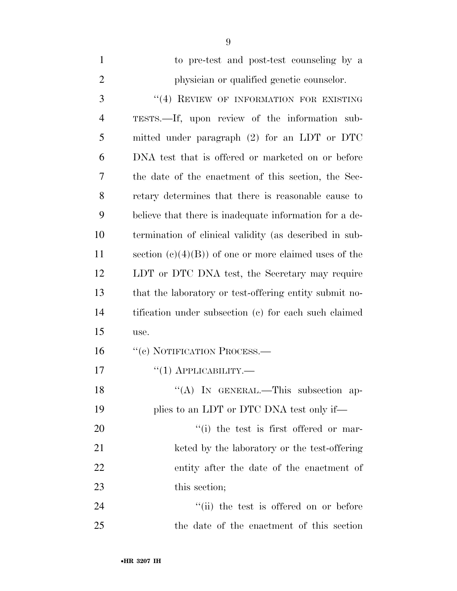| $\mathbf{1}$   | to pre-test and post-test counseling by a              |
|----------------|--------------------------------------------------------|
| $\overline{2}$ | physician or qualified genetic counselor.              |
| 3              | "(4) REVIEW OF INFORMATION FOR EXISTING                |
| $\overline{4}$ | TESTS.—If, upon review of the information sub-         |
| 5              | mitted under paragraph $(2)$ for an LDT or DTC         |
| 6              | DNA test that is offered or marketed on or before      |
| 7              | the date of the enactment of this section, the Sec-    |
| 8              | retary determines that there is reasonable cause to    |
| 9              | believe that there is inadequate information for a de- |
| 10             | termination of clinical validity (as described in sub- |
| 11             | section $(c)(4)(B)$ of one or more claimed uses of the |
| 12             | LDT or DTC DNA test, the Secretary may require         |
| 13             | that the laboratory or test-offering entity submit no- |
| 14             | tification under subsection (c) for each such claimed  |
| 15             | use.                                                   |
| 16             | "(c) NOTIFICATION PROCESS.—                            |
| 17             | $``(1)$ APPLICABILITY.—                                |
| 18             | "(A) IN GENERAL.—This subsection ap-                   |
| 19             | plies to an LDT or DTC DNA test only if—               |
| 20             | "(i) the test is first offered or mar-                 |
| 21             | keted by the laboratory or the test-offering           |
| 22             | entity after the date of the enactment of              |
| 23             | this section;                                          |
| 24             | "(ii) the test is offered on or before                 |
| 25             | the date of the enactment of this section              |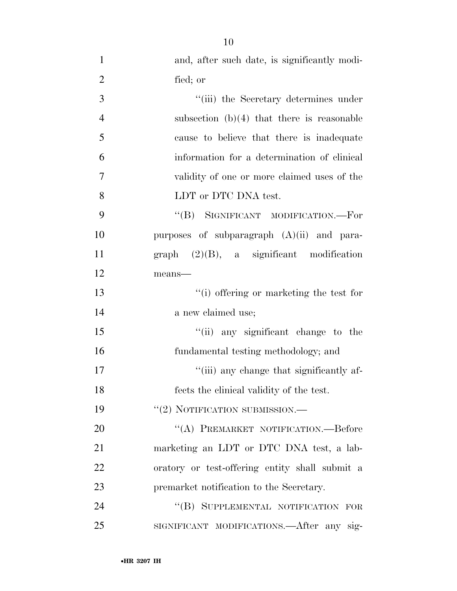| $\mathbf{1}$   | and, after such date, is significantly modi-   |
|----------------|------------------------------------------------|
| $\overline{2}$ | fied; or                                       |
| 3              | "(iii) the Secretary determines under          |
| $\overline{4}$ | subsection $(b)(4)$ that there is reasonable   |
| 5              | cause to believe that there is inadequate      |
| 6              | information for a determination of clinical    |
| 7              | validity of one or more claimed uses of the    |
| 8              | LDT or DTC DNA test.                           |
| 9              | "(B) SIGNIFICANT MODIFICATION.—For             |
| 10             | purposes of subparagraph $(A)(ii)$ and para-   |
| 11             | $graph$ (2)(B), a significant modification     |
| 12             | means-                                         |
| 13             | "(i) offering or marketing the test for        |
| 14             | a new claimed use;                             |
| 15             | "(ii) any significant change to the            |
| 16             | fundamental testing methodology; and           |
| 17             | "(iii) any change that significantly af-       |
| 18             | fects the clinical validity of the test.       |
| 19             | "(2) NOTIFICATION SUBMISSION.—                 |
| 20             | "(A) PREMARKET NOTIFICATION.—Before            |
| 21             | marketing an LDT or DTC DNA test, a lab-       |
| 22             | oratory or test-offering entity shall submit a |
| 23             | premarket notification to the Secretary.       |
| 24             | "(B) SUPPLEMENTAL NOTIFICATION FOR             |
| 25             | SIGNIFICANT MODIFICATIONS.—After any sig-      |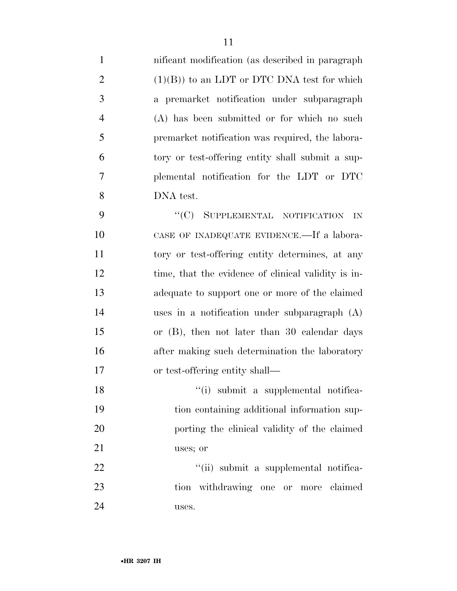| 1              | nificant modification (as described in paragraph)   |
|----------------|-----------------------------------------------------|
| $\overline{2}$ | $(1)(B)$ to an LDT or DTC DNA test for which        |
| 3              | a premarket notification under subparagraph         |
| $\overline{4}$ | (A) has been submitted or for which no such         |
| 5              | premarket notification was required, the labora-    |
| 6              | tory or test-offering entity shall submit a sup-    |
| 7              | plemental notification for the LDT or DTC           |
| 8              | DNA test.                                           |
| 9              | "(C) SUPPLEMENTAL NOTIFICATION<br>IN                |
| 10             | CASE OF INADEQUATE EVIDENCE.—If a labora-           |
| 11             | tory or test-offering entity determines, at any     |
| 12             | time, that the evidence of clinical validity is in- |
| 13             | adequate to support one or more of the claimed      |
| 14             | uses in a notification under subparagraph $(A)$     |
| 15             | or $(B)$ , then not later than 30 calendar days     |
| 16             | after making such determination the laboratory      |
| 17             | or test-offering entity shall—                      |
| 18             | "(i) submit a supplemental notifica-                |
| 19             | tion containing additional information sup-         |
| 20             | porting the clinical validity of the claimed        |
| 21             | uses; or                                            |
| 22             | "(ii) submit a supplemental notifica-               |
| 23             | tion withdrawing one or more claimed                |
| 24             | uses.                                               |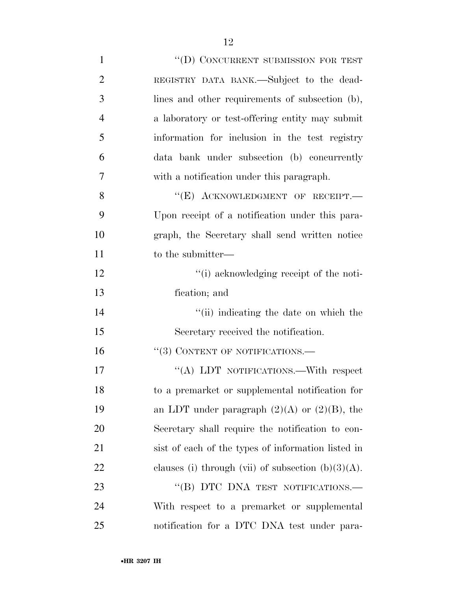| $\mathbf{1}$   | "(D) CONCURRENT SUBMISSION FOR TEST                   |
|----------------|-------------------------------------------------------|
| $\overline{2}$ | REGISTRY DATA BANK.-Subject to the dead-              |
| 3              | lines and other requirements of subsection (b),       |
| $\overline{4}$ | a laboratory or test-offering entity may submit       |
| 5              | information for inclusion in the test registry        |
| 6              | data bank under subsection (b) concurrently           |
| $\overline{7}$ | with a notification under this paragraph.             |
| 8              | "(E) ACKNOWLEDGMENT OF RECEIPT.-                      |
| 9              | Upon receipt of a notification under this para-       |
| 10             | graph, the Secretary shall send written notice        |
| 11             | to the submitter—                                     |
| 12             | "(i) acknowledging receipt of the noti-               |
| 13             | fication; and                                         |
| 14             | "(ii) indicating the date on which the                |
| 15             | Secretary received the notification.                  |
| 16             | $``(3)$ CONTENT OF NOTIFICATIONS.—                    |
| 17             | "(A) LDT NOTIFICATIONS.—With respect                  |
| 18             | to a premarket or supplemental notification for       |
| 19             | an LDT under paragraph $(2)(A)$ or $(2)(B)$ , the     |
| 20             | Secretary shall require the notification to con-      |
| 21             | sist of each of the types of information listed in    |
| 22             | clauses (i) through (vii) of subsection $(b)(3)(A)$ . |
| 23             | "(B) DTC DNA TEST NOTIFICATIONS.-                     |
| 24             | With respect to a premarket or supplemental           |
| 25             | notification for a DTC DNA test under para-           |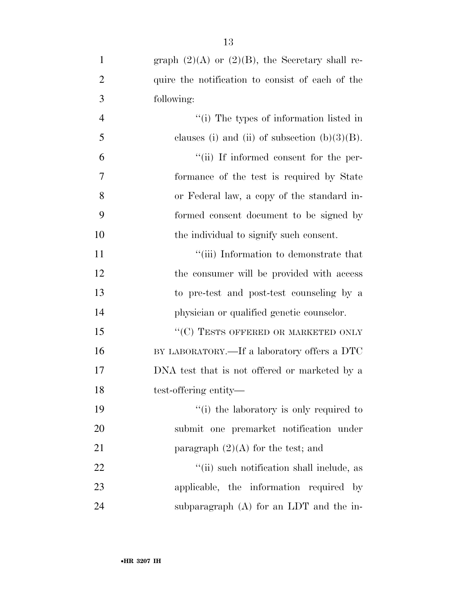| $\mathbf{1}$   | graph $(2)(A)$ or $(2)(B)$ , the Secretary shall re- |
|----------------|------------------------------------------------------|
| $\overline{2}$ | quire the notification to consist of each of the     |
| 3              | following:                                           |
| $\overline{4}$ | "(i) The types of information listed in              |
| 5              | clauses (i) and (ii) of subsection $(b)(3)(B)$ .     |
| 6              | "(ii) If informed consent for the per-               |
| 7              | formance of the test is required by State            |
| 8              | or Federal law, a copy of the standard in-           |
| 9              | formed consent document to be signed by              |
| 10             | the individual to signify such consent.              |
| 11             | "(iii) Information to demonstrate that               |
| 12             | the consumer will be provided with access            |
| 13             | to pre-test and post-test counseling by a            |
| 14             | physician or qualified genetic counselor.            |
| 15             | "(C) TESTS OFFERED OR MARKETED ONLY                  |
| 16             | BY LABORATORY.—If a laboratory offers a DTC          |
| 17             | DNA test that is not offered or marketed by a        |
| 18             | test-offering entity—                                |
| 19             | "(i) the laboratory is only required to              |
| 20             | submit one premarket notification under              |
| 21             | paragraph $(2)(A)$ for the test; and                 |
| 22             | "(ii) such notification shall include, as            |
| 23             | applicable, the information required by              |
| 24             | subparagraph $(A)$ for an LDT and the in-            |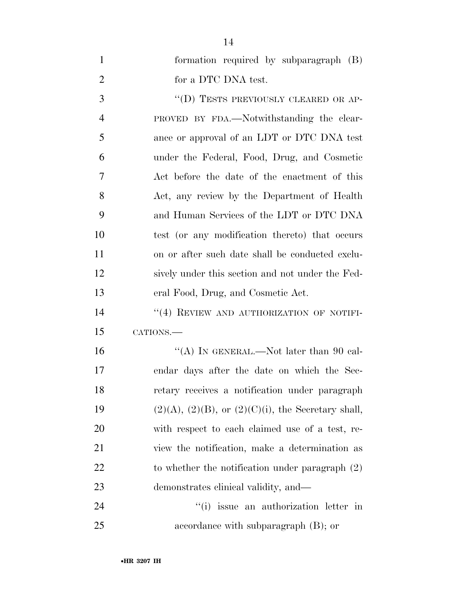| $\mathbf{1}$   | formation required by subparagraph (B)                      |
|----------------|-------------------------------------------------------------|
| $\overline{2}$ | for a DTC DNA test.                                         |
| 3              | "(D) TESTS PREVIOUSLY CLEARED OR AP-                        |
| $\overline{4}$ | PROVED BY FDA.—Notwithstanding the clear-                   |
| 5              | ance or approval of an LDT or DTC DNA test                  |
| 6              | under the Federal, Food, Drug, and Cosmetic                 |
| 7              | Act before the date of the enactment of this                |
| 8              | Act, any review by the Department of Health                 |
| 9              | and Human Services of the LDT or DTC DNA                    |
| 10             | test (or any modification thereto) that occurs              |
| 11             | on or after such date shall be conducted exclu-             |
| 12             | sively under this section and not under the Fed-            |
| 13             | eral Food, Drug, and Cosmetic Act.                          |
| 14             | "(4) REVIEW AND AUTHORIZATION OF NOTIFI-                    |
| 15             | CATIONS.                                                    |
| 16             | "(A) IN GENERAL.—Not later than 90 cal-                     |
| 17             | endar days after the date on which the Sec-                 |
| 18             | retary receives a notification under paragraph              |
| 19             | $(2)(A)$ , $(2)(B)$ , or $(2)(C)(i)$ , the Secretary shall, |
| 20             | with respect to each claimed use of a test, re-             |
| 21             | view the notification, make a determination as              |
| 22             | to whether the notification under paragraph $(2)$           |
| 23             | demonstrates clinical validity, and—                        |
| 24             | "(i) issue an authorization letter in                       |
| 25             | accordance with subparagraph $(B)$ ; or                     |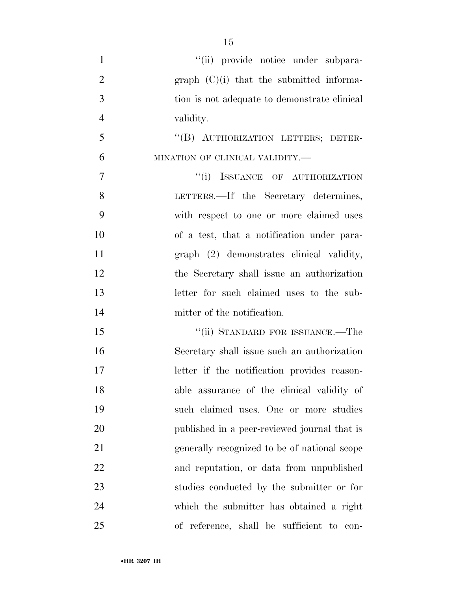| $\mathbf{1}$   | "(ii) provide notice under subpara-          |
|----------------|----------------------------------------------|
| $\overline{2}$ | graph $(C)(i)$ that the submitted informa-   |
| 3              | tion is not adequate to demonstrate clinical |
| $\overline{4}$ | validity.                                    |
| 5              | "(B) AUTHORIZATION LETTERS; DETER-           |
| 6              | MINATION OF CLINICAL VALIDITY.-              |
| 7              | "(i) ISSUANCE OF AUTHORIZATION               |
| 8              | LETTERS.—If the Secretary determines,        |
| 9              | with respect to one or more claimed uses     |
| 10             | of a test, that a notification under para-   |
| 11             | graph (2) demonstrates clinical validity,    |
| 12             | the Secretary shall issue an authorization   |
| 13             | letter for such claimed uses to the sub-     |
| 14             | mitter of the notification.                  |
| 15             | "(ii) STANDARD FOR ISSUANCE.—The             |
| 16             | Secretary shall issue such an authorization  |
| 17             | letter if the notification provides reason-  |
| 18             | able assurance of the clinical validity of   |
| 19             | such claimed uses. One or more studies       |
| 20             | published in a peer-reviewed journal that is |
| 21             | generally recognized to be of national scope |
| 22             | and reputation, or data from unpublished     |
| 23             | studies conducted by the submitter or for    |
| 24             | which the submitter has obtained a right     |
| 25             | of reference, shall be sufficient to con-    |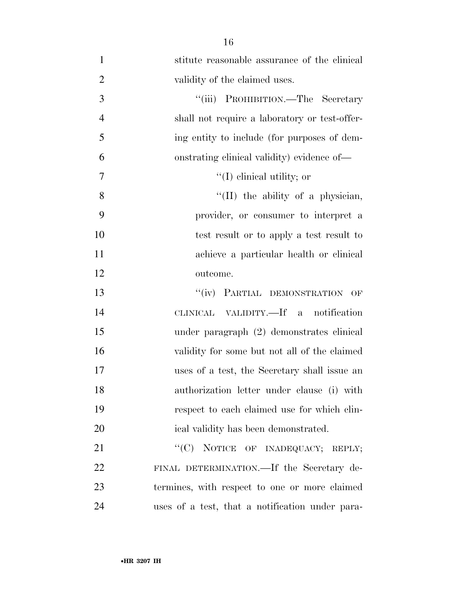| $\mathbf{1}$   | stitute reasonable assurance of the clinical    |
|----------------|-------------------------------------------------|
| $\overline{2}$ | validity of the claimed uses.                   |
| 3              | "(iii) PROHIBITION.—The Secretary               |
| $\overline{4}$ | shall not require a laboratory or test-offer-   |
| 5              | ing entity to include (for purposes of dem-     |
| 6              | onstrating clinical validity) evidence of—      |
| 7              | $\lq (I)$ clinical utility; or                  |
| 8              | "(II) the ability of a physician,               |
| 9              | provider, or consumer to interpret a            |
| 10             | test result or to apply a test result to        |
| 11             | achieve a particular health or clinical         |
| 12             | outcome.                                        |
| 13             | "(iv) PARTIAL DEMONSTRATION<br>OF               |
| 14             | CLINICAL VALIDITY.—If a notification            |
| 15             | under paragraph (2) demonstrates clinical       |
| 16             | validity for some but not all of the claimed    |
| 17             | uses of a test, the Secretary shall issue an    |
| 18             | authorization letter under clause (i) with      |
| 19             | respect to each claimed use for which clin-     |
| 20             | ical validity has been demonstrated.            |
| 21             | "(C) NOTICE OF INADEQUACY; REPLY;               |
| 22             | FINAL DETERMINATION.—If the Secretary de-       |
| 23             | termines, with respect to one or more claimed   |
| 24             | uses of a test, that a notification under para- |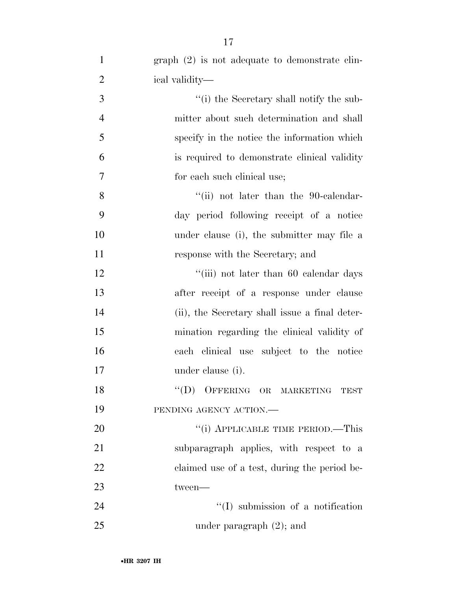| $\mathbf{1}$   | $graph (2)$ is not adequate to demonstrate clin- |
|----------------|--------------------------------------------------|
| $\overline{2}$ | ical validity—                                   |
| 3              | "(i) the Secretary shall notify the sub-         |
| $\overline{4}$ | mitter about such determination and shall        |
| 5              | specify in the notice the information which      |
| 6              | is required to demonstrate clinical validity     |
| 7              | for each such clinical use;                      |
| 8              | "(ii) not later than the 90-calendar-            |
| 9              | day period following receipt of a notice         |
| 10             | under clause (i), the submitter may file a       |
| 11             | response with the Secretary; and                 |
| 12             | "(iii) not later than 60 calendar days           |
| 13             | after receipt of a response under clause         |
| 14             | (ii), the Secretary shall issue a final deter-   |
| 15             | mination regarding the clinical validity of      |
| 16             | each clinical use subject to the notice          |
| 17             | under clause (i).                                |
| 18             | "(D) OFFERING OR MARKETING<br><b>TEST</b>        |
| 19             | PENDING AGENCY ACTION.                           |
| 20             | "(i) APPLICABLE TIME PERIOD.—This                |
| 21             | subparagraph applies, with respect to a          |
| 22             | claimed use of a test, during the period be-     |
| 23             | tween-                                           |
| 24             | $\lq\lq$ submission of a notification            |
| 25             | under paragraph $(2)$ ; and                      |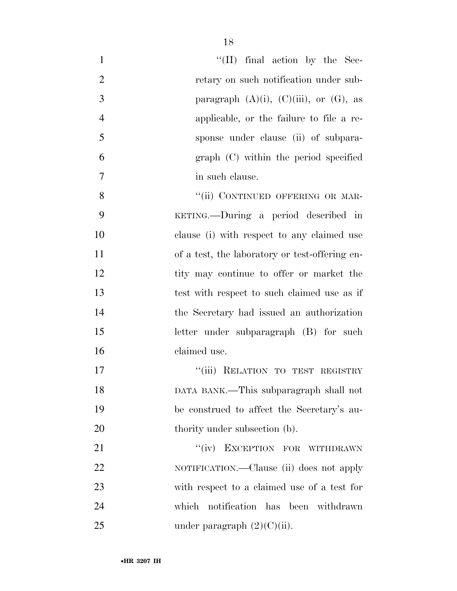| 1              | $\lq\lq$ (II) final action by the Sec-          |
|----------------|-------------------------------------------------|
| $\overline{2}$ | retary on such notification under sub-          |
| 3              | paragraph $(A)(i)$ , $(C)(iii)$ , or $(G)$ , as |
| $\overline{4}$ | applicable, or the failure to file a re-        |
| 5              | sponse under clause (ii) of subpara-            |
| 6              | graph (C) within the period specified           |
| $\overline{7}$ | in such clause.                                 |
| 8              | "(ii) CONTINUED OFFERING OR MAR-                |
| 9              | KETING.—During a period described in            |
| 10             | clause (i) with respect to any claimed use      |
| 11             | of a test, the laboratory or test-offering en-  |
| 12             | tity may continue to offer or market the        |
| 13             | test with respect to such claimed use as if     |
| 14             | the Secretary had issued an authorization       |
| 15             | letter under subparagraph (B) for such          |
| 16             | claimed use.                                    |
| 17             | "(iii) RELATION TO TEST REGISTRY                |
| 18             | DATA BANK.—This subparagraph shall not          |
| 19             | be construed to affect the Secretary's au-      |
| 20             | thority under subsection (b).                   |
| 21             | "(iv) EXCEPTION FOR WITHDRAWN                   |
| 22             | NOTIFICATION.—Clause (ii) does not apply        |
| 23             | with respect to a claimed use of a test for     |
| 24             | which notification has been withdrawn           |
| 25             | under paragraph $(2)(C)(ii)$ .                  |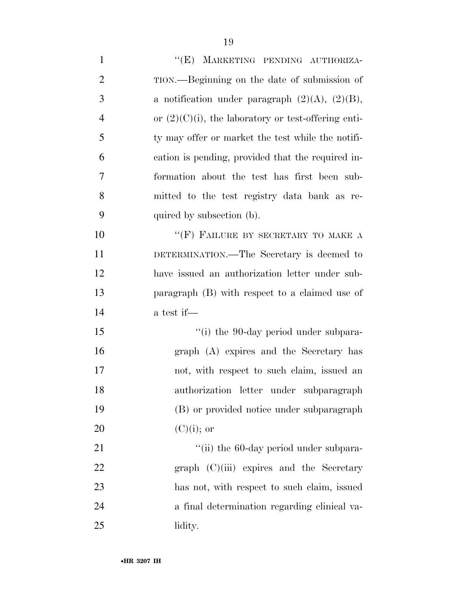1 "'(E) MARKETING PENDING AUTHORIZA- TION.—Beginning on the date of submission of 3 a notification under paragraph  $(2)(A)$ ,  $(2)(B)$ , 4 or  $(2)(C)(i)$ , the laboratory or test-offering enti- ty may offer or market the test while the notifi- cation is pending, provided that the required in- formation about the test has first been sub- mitted to the test registry data bank as re- quired by subsection (b). 10 "'(F) FAILURE BY SECRETARY TO MAKE A DETERMINATION.—The Secretary is deemed to have issued an authorization letter under sub- paragraph (B) with respect to a claimed use of a test if—  $\frac{1}{10}$  the 90-day period under subpara- graph (A) expires and the Secretary has not, with respect to such claim, issued an authorization letter under subparagraph (B) or provided notice under subparagraph 20 (C)(i); or  $\frac{1}{1}$  the 60-day period under subpara-22 graph (C)(iii) expires and the Secretary has not, with respect to such claim, issued

a final determination regarding clinical va-

lidity.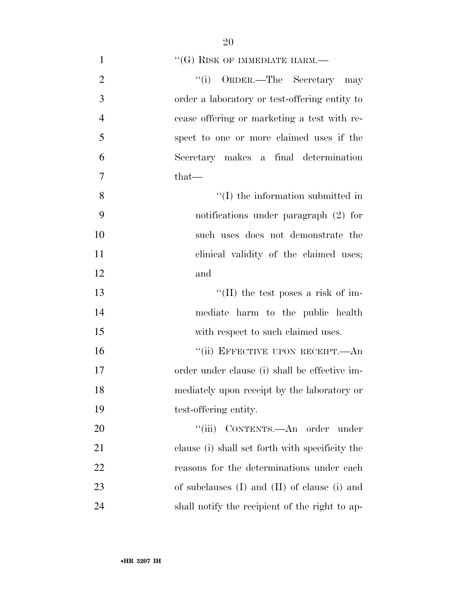| $\mathbf{1}$   | $\lq\lq (G)$ RISK OF IMMEDIATE HARM.—              |
|----------------|----------------------------------------------------|
| $\overline{2}$ | "(i) ORDER.—The Secretary may                      |
| 3              | order a laboratory or test-offering entity to      |
| $\overline{4}$ | cease offering or marketing a test with re-        |
| 5              | spect to one or more claimed uses if the           |
| 6              | Secretary makes a final determination              |
| 7              | $that-$                                            |
| 8              | $\lq\lq$ (I) the information submitted in          |
| 9              | notifications under paragraph $(2)$ for            |
| 10             | such uses does not demonstrate the                 |
| 11             | clinical validity of the claimed uses;             |
| 12             | and                                                |
| 13             | "(II) the test poses a risk of im-                 |
| 14             | mediate harm to the public health                  |
| 15             | with respect to such claimed uses.                 |
| 16             | "(ii) EFFECTIVE UPON RECEIPT.—An                   |
| 17             | order under clause (i) shall be effective im-      |
| 18             | mediately upon receipt by the laboratory or        |
| 19             | test-offering entity.                              |
| 20             | "(iii) CONTENTS.—An order under                    |
| 21             | clause (i) shall set forth with specificity the    |
| 22             | reasons for the determinations under each          |
| 23             | of subclauses $(I)$ and $(II)$ of clause $(i)$ and |
| 24             | shall notify the recipient of the right to ap-     |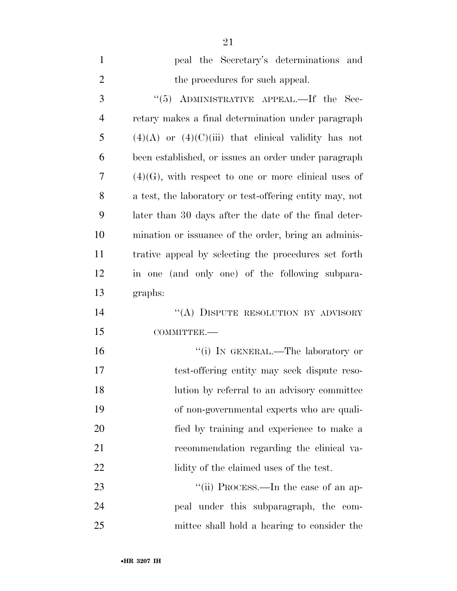| $\mathbf{1}$   | peal the Secretary's determinations and                  |
|----------------|----------------------------------------------------------|
| $\overline{2}$ | the procedures for such appeal.                          |
| 3              | "(5) ADMINISTRATIVE APPEAL.—If the Sec-                  |
| $\overline{4}$ | retary makes a final determination under paragraph       |
| 5              | $(4)(A)$ or $(4)(C)(iii)$ that elinical validity has not |
| 6              | been established, or issues an order under paragraph     |
| 7              | $(4)(G)$ , with respect to one or more clinical uses of  |
| 8              | a test, the laboratory or test-offering entity may, not  |
| 9              | later than 30 days after the date of the final deter-    |
| 10             | mination or issuance of the order, bring an adminis-     |
| 11             | trative appeal by selecting the procedures set forth     |
| 12             | in one (and only one) of the following subpara-          |
| 13             | graphs:                                                  |
| 14             | "(A) DISPUTE RESOLUTION BY ADVISORY                      |
| 15             | COMMITTEE.-                                              |
| 16             | "(i) IN GENERAL.—The laboratory or                       |
| 17             | test-offering entity may seek dispute reso-              |
| 18             | lution by referral to an advisory committee              |
| 19             | of non-governmental experts who are quali-               |
| 20             | fied by training and experience to make a                |
| 21             | recommendation regarding the clinical va-                |
| 22             | lidity of the claimed uses of the test.                  |
| 23             | "(ii) PROCESS.—In the case of an ap-                     |
| 24             | peal under this subparagraph, the com-                   |
| 25             | mittee shall hold a hearing to consider the              |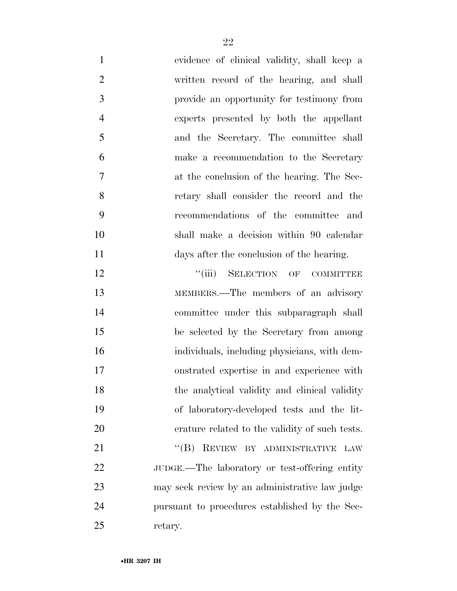evidence of clinical validity, shall keep a written record of the hearing, and shall provide an opportunity for testimony from experts presented by both the appellant and the Secretary. The committee shall make a recommendation to the Secretary at the conclusion of the hearing. The Sec- retary shall consider the record and the recommendations of the committee and shall make a decision within 90 calendar days after the conclusion of the hearing.

**''**(iii) SELECTION OF COMMITTEE MEMBERS.—The members of an advisory committee under this subparagraph shall be selected by the Secretary from among individuals, including physicians, with dem- onstrated expertise in and experience with 18 the analytical validity and clinical validity of laboratory-developed tests and the lit- erature related to the validity of such tests. 21 "(B) REVIEW BY ADMINISTRATIVE LAW JUDGE.—The laboratory or test-offering entity may seek review by an administrative law judge pursuant to procedures established by the Sec-

retary.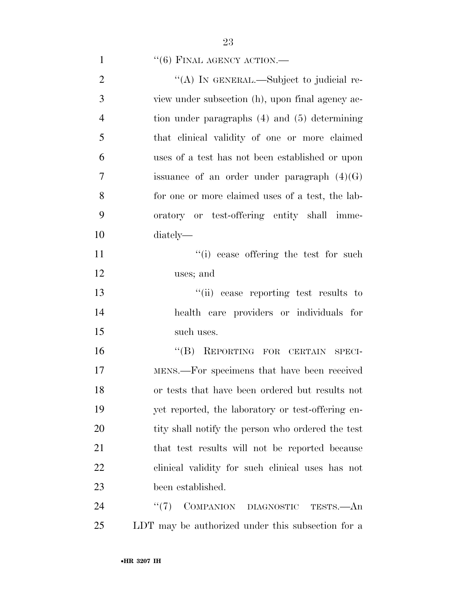# 1  $``(6)$  FINAL AGENCY ACTION.—

| $\overline{2}$ | "(A) IN GENERAL.—Subject to judicial re-          |
|----------------|---------------------------------------------------|
| 3              | view under subsection (h), upon final agency ac-  |
| $\overline{4}$ | tion under paragraphs $(4)$ and $(5)$ determining |
| 5              | that clinical validity of one or more claimed     |
| 6              | uses of a test has not been established or upon   |
| 7              | issuance of an order under paragraph $(4)(G)$     |
| 8              | for one or more claimed uses of a test, the lab-  |
| 9              | oratory or test-offering entity shall imme-       |
| 10             | diately—                                          |
| 11             | "(i) cease offering the test for such             |
| 12             | uses; and                                         |
| 13             | "(ii) cease reporting test results to             |
| 14             | health care providers or individuals for          |
| 15             | such uses.                                        |
| 16             | "(B) REPORTING FOR CERTAIN SPECI-                 |
| 17             | MENS.—For specimens that have been received       |
| 18             | or tests that have been ordered but results not   |
| 19             | yet reported, the laboratory or test-offering en- |
| 20             | tity shall notify the person who ordered the test |
| 21             | that test results will not be reported because    |
| 22             | clinical validity for such clinical uses has not  |
| 23             | been established.                                 |
| 24             | COMPANION DIAGNOSTIC<br>(4(7))<br>TESTS.—An       |
| 25             | LDT may be authorized under this subsection for a |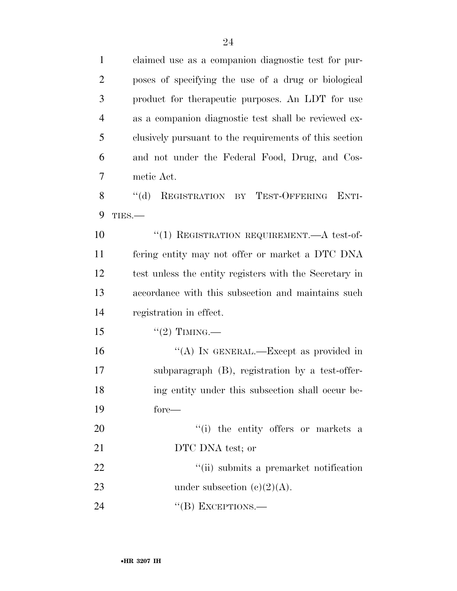claimed use as a companion diagnostic test for pur- poses of specifying the use of a drug or biological product for therapeutic purposes. An LDT for use as a companion diagnostic test shall be reviewed ex- clusively pursuant to the requirements of this section and not under the Federal Food, Drug, and Cos- metic Act. 8 "(d) REGISTRATION BY TEST-OFFERING ENTI- TIES.—  $(1)$  REGISTRATION REQUIREMENT. A test-of- fering entity may not offer or market a DTC DNA test unless the entity registers with the Secretary in accordance with this subsection and maintains such registration in effect.  $"(2)$  TIMING.— 16 "(A) IN GENERAL.—Except as provided in subparagraph (B), registration by a test-offer- ing entity under this subsection shall occur be- fore—  $\frac{1}{1}$  the entity offers or markets a 21 DTC DNA test; or 22 ''(ii) submits a premarket notification 23 under subsection  $(c)(2)(A)$ . 24 "(B) EXCEPTIONS.—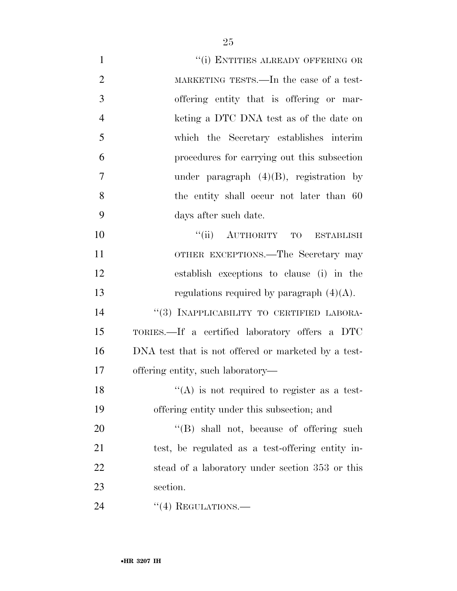| $\mathbf{1}$   | "(i) ENTITIES ALREADY OFFERING OR                   |
|----------------|-----------------------------------------------------|
| $\overline{2}$ | MARKETING TESTS.—In the case of a test-             |
| 3              | offering entity that is offering or mar-            |
| $\overline{4}$ | keting a DTC DNA test as of the date on             |
| 5              | which the Secretary establishes interim             |
| 6              | procedures for carrying out this subsection         |
| 7              | under paragraph $(4)(B)$ , registration by          |
| 8              | the entity shall occur not later than 60            |
| 9              | days after such date.                               |
| 10             | "(ii) AUTHORITY TO ESTABLISH                        |
| 11             | OTHER EXCEPTIONS.—The Secretary may                 |
| 12             | establish exceptions to clause (i) in the           |
| 13             | regulations required by paragraph $(4)(A)$ .        |
| 14             | "(3) INAPPLICABILITY TO CERTIFIED LABORA-           |
| 15             | TORIES.—If a certified laboratory offers a DTC      |
| 16             | DNA test that is not offered or marketed by a test- |
| 17             | offering entity, such laboratory—                   |
| 18             | $(4)$ is not required to register as a test-        |
| 19             | offering entity under this subsection; and          |
| 20             | $\lq\lq$ (B) shall not, because of offering such    |
| 21             | test, be regulated as a test-offering entity in-    |
| 22             | stead of a laboratory under section 353 or this     |
| 23             | section.                                            |
| 24             | $\cdot\cdot\cdot(4)$ REGULATIONS.—                  |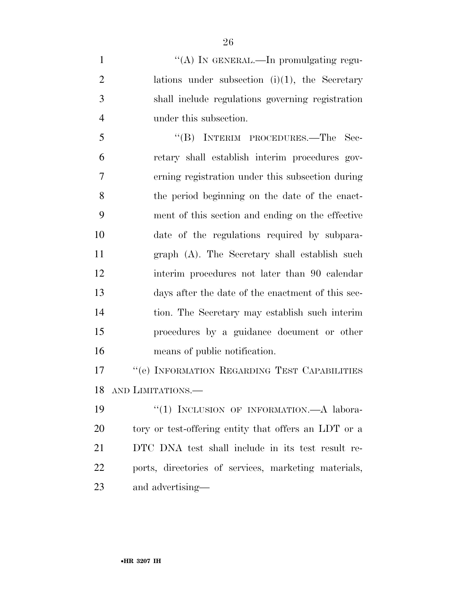$\langle (A) \rangle$  In GENERAL.—In promulgating regu-2 lations under subsection  $(i)(1)$ , the Secretary shall include regulations governing registration under this subsection.

 ''(B) INTERIM PROCEDURES.—The Sec- retary shall establish interim procedures gov- erning registration under this subsection during the period beginning on the date of the enact- ment of this section and ending on the effective date of the regulations required by subpara- graph (A). The Secretary shall establish such interim procedures not later than 90 calendar days after the date of the enactment of this sec- tion. The Secretary may establish such interim procedures by a guidance document or other means of public notification.

17 <sup>''</sup>(e) INFORMATION REGARDING TEST CAPABILITIES AND LIMITATIONS.—

19 "(1) INCLUSION OF INFORMATION.—A labora-20 tory or test-offering entity that offers an LDT or a DTC DNA test shall include in its test result re- ports, directories of services, marketing materials, and advertising—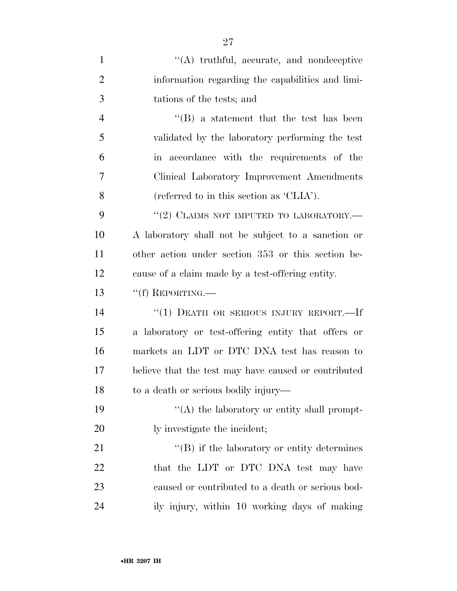| $\mathbf{1}$   | $\lq\lq$ truthful, accurate, and nondeceptive        |
|----------------|------------------------------------------------------|
| $\overline{2}$ | information regarding the capabilities and limi-     |
| 3              | tations of the tests; and                            |
| 4              | $\lq\lq (B)$ a statement that the test has been      |
| 5              | validated by the laboratory performing the test      |
| 6              | in accordance with the requirements of the           |
| 7              | Clinical Laboratory Improvement Amendments           |
| 8              | (referred to in this section as 'CLIA').             |
| 9              | "(2) CLAIMS NOT IMPUTED TO LABORATORY.—              |
| 10             | A laboratory shall not be subject to a sanction or   |
| 11             | other action under section 353 or this section be-   |
| 12             | cause of a claim made by a test-offering entity.     |
| 13             | $``(f)$ REPORTING.—                                  |
| 14             | "(1) DEATH OR SERIOUS INJURY REPORT.-If              |
| 15             | a laboratory or test-offering entity that offers or  |
| 16             | markets an LDT or DTC DNA test has reason to         |
| 17             | believe that the test may have caused or contributed |
| 18             | to a death or serious bodily injury—                 |
| 19             | $\lq\lq$ the laboratory or entity shall prompt-      |
| 20             | ly investigate the incident;                         |
| 21             | $\lq\lq (B)$ if the laboratory or entity determines  |
| 22             | that the LDT or DTC DNA test may have                |
| 23             | caused or contributed to a death or serious bod-     |
| 24             | ily injury, within 10 working days of making         |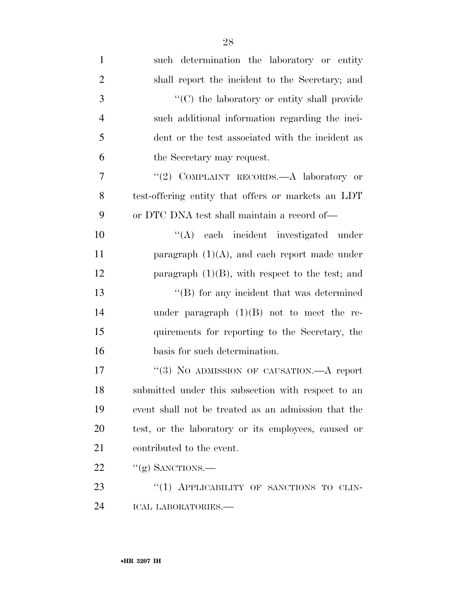| $\mathbf{1}$   | such determination the laboratory or entity         |
|----------------|-----------------------------------------------------|
| $\overline{2}$ | shall report the incident to the Secretary; and     |
| 3              | "(C) the laboratory or entity shall provide         |
| $\overline{4}$ | such additional information regarding the inci-     |
| 5              | dent or the test associated with the incident as    |
| 6              | the Secretary may request.                          |
| $\overline{7}$ | "(2) COMPLAINT RECORDS.—A laboratory or             |
| 8              | test-offering entity that offers or markets an LDT  |
| 9              | or DTC DNA test shall maintain a record of—         |
| 10             | "(A) each incident investigated under               |
| 11             | paragraph $(1)(A)$ , and each report made under     |
| 12             | paragraph $(1)(B)$ , with respect to the test; and  |
| 13             | $\lq\lq (B)$ for any incident that was determined   |
| 14             | under paragraph $(1)(B)$ not to meet the re-        |
| 15             | quirements for reporting to the Secretary, the      |
| 16             | basis for such determination.                       |
| 17             | "(3) NO ADMISSION OF CAUSATION.—A report            |
| 18             | submitted under this subsection with respect to an  |
| 19             | event shall not be treated as an admission that the |
| 20             | test, or the laboratory or its employees, caused or |
| 21             | contributed to the event.                           |
| 22             | $``(g)$ SANCTIONS.—                                 |
| 23             | "(1) APPLICABILITY OF SANCTIONS TO CLIN-            |
| 24             | ICAL LABORATORIES.-                                 |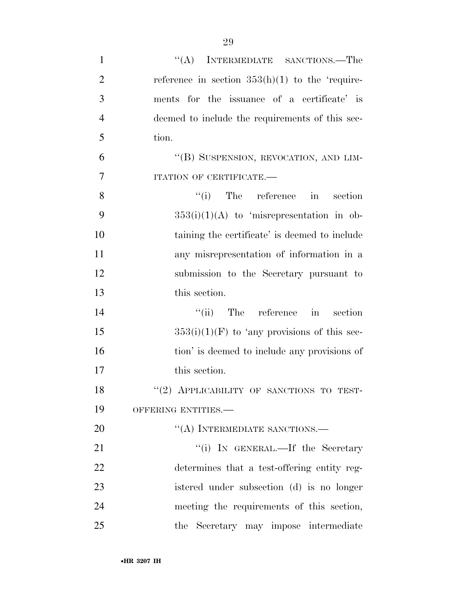| $\mathbf{1}$   | "(A) INTERMEDIATE SANCTIONS.—The                  |
|----------------|---------------------------------------------------|
| $\overline{2}$ | reference in section $353(h)(1)$ to the 'require- |
| 3              | ments for the issuance of a certificate' is       |
| $\overline{4}$ | deemed to include the requirements of this sec-   |
| 5              | tion.                                             |
| 6              | "(B) SUSPENSION, REVOCATION, AND LIM-             |
| 7              | ITATION OF CERTIFICATE.-                          |
| 8              | ``(i)<br>The reference in<br>section              |
| 9              | $353(i)(1)(A)$ to 'misrepresentation in ob-       |
| 10             | taining the certificate' is deemed to include     |
| 11             | any misrepresentation of information in a         |
| 12             | submission to the Secretary pursuant to           |
| 13             | this section.                                     |
| 14             | $``(ii)$ The reference in<br>section              |
| 15             | $353(i)(1)(F)$ to 'any provisions of this sec-    |
| 16             | tion' is deemed to include any provisions of      |
| 17             | this section.                                     |
| 18             | "(2) APPLICABILITY OF SANCTIONS TO TEST-          |
| 19             | OFFERING ENTITIES.-                               |
| 20             | "(A) INTERMEDIATE SANCTIONS.—                     |
| 21             | "(i) IN GENERAL.—If the Secretary                 |
| 22             | determines that a test-offering entity reg-       |
| 23             | istered under subsection (d) is no longer         |
| 24             | meeting the requirements of this section,         |
| 25             | the Secretary may impose intermediate             |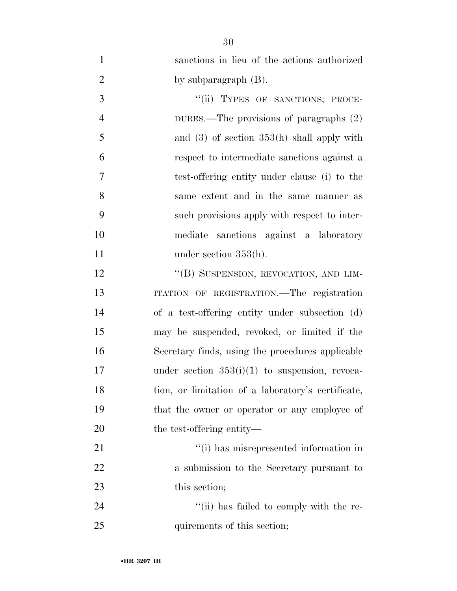| $\mathbf{1}$   | sanctions in lieu of the actions authorized        |
|----------------|----------------------------------------------------|
| $\overline{2}$ | by subparagraph $(B)$ .                            |
| $\mathfrak{Z}$ | "(ii) TYPES OF SANCTIONS; PROCE-                   |
| $\overline{4}$ | DURES.—The provisions of paragraphs $(2)$          |
| 5              | and $(3)$ of section $353(h)$ shall apply with     |
| 6              | respect to intermediate sanctions against a        |
| $\overline{7}$ | test-offering entity under clause (i) to the       |
| 8              | same extent and in the same manner as              |
| 9              | such provisions apply with respect to inter-       |
| 10             | mediate sanctions against a laboratory             |
| 11             | under section $353(h)$ .                           |
| 12             | "(B) SUSPENSION, REVOCATION, AND LIM-              |
| 13             | ITATION OF REGISTRATION. The registration          |
| 14             | of a test-offering entity under subsection (d)     |
| 15             | may be suspended, revoked, or limited if the       |
| 16             | Secretary finds, using the procedures applicable   |
| 17             | under section $353(i)(1)$ to suspension, revoca-   |
| 18             | tion, or limitation of a laboratory's certificate, |
| 19             | that the owner or operator or any employee of      |
| 20             | the test-offering entity—                          |
| 21             | "(i) has misrepresented information in             |
| 22             | a submission to the Secretary pursuant to          |
| 23             | this section;                                      |
| 24             | "(ii) has failed to comply with the re-            |
| 25             | quirements of this section;                        |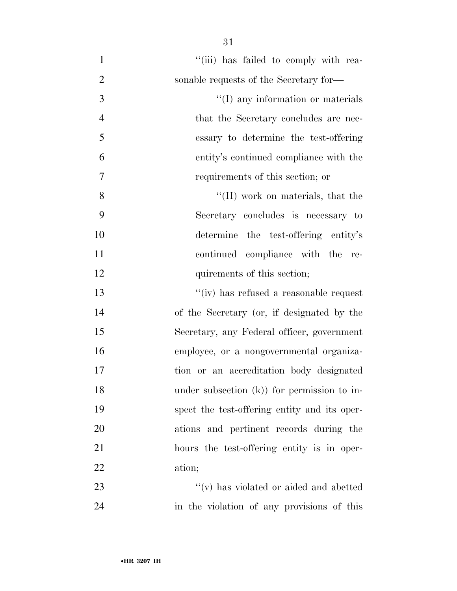| $\mathbf{1}$   | "(iii) has failed to comply with rea-        |
|----------------|----------------------------------------------|
| $\overline{2}$ | sonable requests of the Secretary for-       |
| 3              | "(I) any information or materials            |
| $\overline{4}$ | that the Secretary concludes are nec-        |
| 5              | essary to determine the test-offering        |
| 6              | entity's continued compliance with the       |
| 7              | requirements of this section; or             |
| 8              | $\lq\lq$ (II) work on materials, that the    |
| 9              | Secretary concludes is necessary to          |
| 10             | determine the test-offering entity's         |
| 11             | continued compliance with the re-            |
| 12             | quirements of this section;                  |
| 13             | "(iv) has refused a reasonable request       |
| 14             | of the Secretary (or, if designated by the   |
| 15             | Secretary, any Federal officer, government   |
| 16             | employee, or a nongovernmental organiza-     |
| 17             | tion or an accreditation body designated     |
| 18             | under subsection $(k)$ for permission to in- |
| 19             | spect the test-offering entity and its oper- |
| 20             | ations and pertinent records during the      |
| 21             | hours the test-offering entity is in oper-   |
| 22             | ation;                                       |
| 23             | $``(v)$ has violated or aided and abetted    |
| 24             | in the violation of any provisions of this   |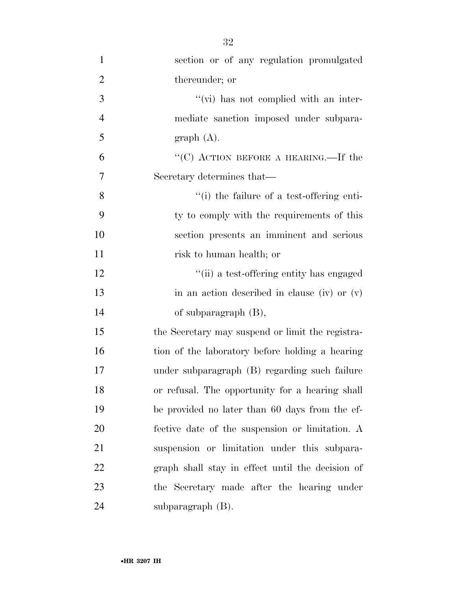| $\mathbf{1}$   | section or of any regulation promulgated         |
|----------------|--------------------------------------------------|
| $\overline{2}$ | thereunder; or                                   |
| 3              | $\lq\lq$ (vi) has not complied with an inter-    |
| $\overline{4}$ | mediate sanction imposed under subpara-          |
| 5              | graph(A).                                        |
| 6              | "(C) ACTION BEFORE A HEARING.—If the             |
| 7              | Secretary determines that—                       |
| 8              | "(i) the failure of a test-offering enti-        |
| 9              | ty to comply with the requirements of this       |
| 10             | section presents an imminent and serious         |
| 11             | risk to human health; or                         |
| 12             | "(ii) a test-offering entity has engaged         |
| 13             | in an action described in clause (iv) or $(v)$   |
| 14             | of subparagraph $(B)$ ,                          |
| 15             | the Secretary may suspend or limit the registra- |
| 16             | tion of the laboratory before holding a hearing  |
| 17             | under subparagraph (B) regarding such failure    |
| 18             | or refusal. The opportunity for a hearing shall  |
| 19             | be provided no later than 60 days from the ef-   |
| 20             | fective date of the suspension or limitation. A  |
| 21             | suspension or limitation under this subpara-     |
| 22             | graph shall stay in effect until the decision of |
| 23             | the Secretary made after the hearing under       |
| 24             | subparagraph $(B)$ .                             |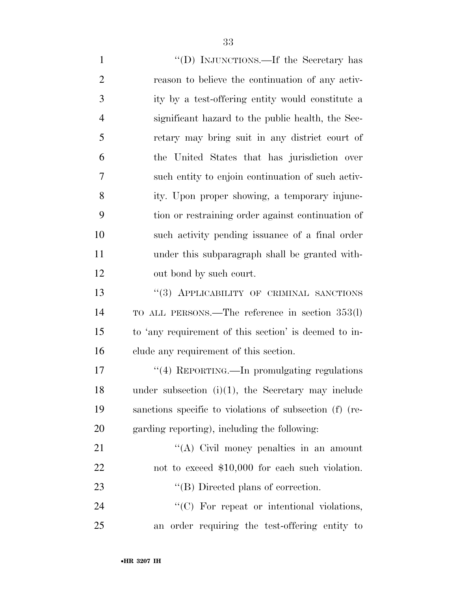| $\mathbf{1}$   | "(D) INJUNCTIONS.—If the Secretary has                  |
|----------------|---------------------------------------------------------|
| $\overline{2}$ | reason to believe the continuation of any activ-        |
| 3              | ity by a test-offering entity would constitute a        |
| $\overline{4}$ | significant hazard to the public health, the Sec-       |
| 5              | retary may bring suit in any district court of          |
| 6              | the United States that has jurisdiction over            |
| 7              | such entity to enjoin continuation of such activ-       |
| 8              | ity. Upon proper showing, a temporary injunc-           |
| 9              | tion or restraining order against continuation of       |
| 10             | such activity pending issuance of a final order         |
| 11             | under this subparagraph shall be granted with-          |
| 12             | out bond by such court.                                 |
| 13             | "(3) APPLICABILITY OF CRIMINAL SANCTIONS                |
| 14             | TO ALL PERSONS.—The reference in section 353(l)         |
| 15             | to 'any requirement of this section' is deemed to in-   |
| 16             | clude any requirement of this section.                  |
| 17             | "(4) REPORTING.—In promulgating regulations             |
| 18             | under subsection $(i)(1)$ , the Secretary may include   |
| 19             | sanctions specific to violations of subsection (f) (re- |
| 20             | garding reporting), including the following:            |
| 21             | "(A) Civil money penalties in an amount                 |
| 22             | not to exceed \$10,000 for each such violation.         |
| 23             | $\lq\lq$ (B) Directed plans of correction.              |
| 24             | "(C) For repeat or intentional violations,              |
| 25             | an order requiring the test-offering entity to          |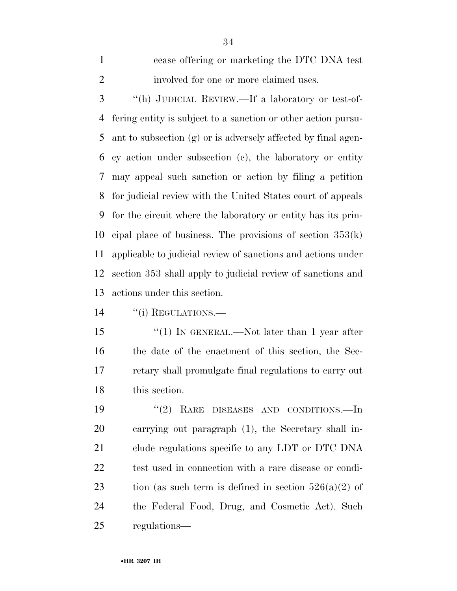cease offering or marketing the DTC DNA test involved for one or more claimed uses.

 ''(h) JUDICIAL REVIEW.—If a laboratory or test-of- fering entity is subject to a sanction or other action pursu- ant to subsection (g) or is adversely affected by final agen- cy action under subsection (c), the laboratory or entity may appeal such sanction or action by filing a petition for judicial review with the United States court of appeals for the circuit where the laboratory or entity has its prin-10 cipal place of business. The provisions of section  $353(k)$  applicable to judicial review of sanctions and actions under section 353 shall apply to judicial review of sanctions and actions under this section.

14 "(i) REGULATIONS.

15 "(1) IN GENERAL.—Not later than 1 year after the date of the enactment of this section, the Sec- retary shall promulgate final regulations to carry out this section.

19 "(2) RARE DISEASES AND CONDITIONS.—In carrying out paragraph (1), the Secretary shall in- clude regulations specific to any LDT or DTC DNA test used in connection with a rare disease or condi-23 tion (as such term is defined in section  $526(a)(2)$  of the Federal Food, Drug, and Cosmetic Act). Such regulations—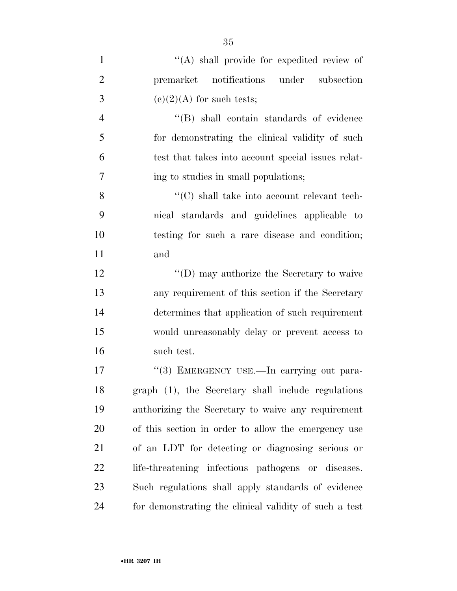| $\mathbf{1}$   | $\lq\lq$ shall provide for expedited review of         |
|----------------|--------------------------------------------------------|
| $\overline{2}$ | premarket notifications under<br>subsection            |
| 3              | $(e)(2)(A)$ for such tests;                            |
| $\overline{4}$ | "(B) shall contain standards of evidence               |
| 5              | for demonstrating the clinical validity of such        |
| 6              | test that takes into account special issues relat-     |
| 7              | ing to studies in small populations;                   |
| 8              | $\lq\lq$ (C) shall take into account relevant tech-    |
| 9              | nical standards and guidelines applicable to           |
| 10             | testing for such a rare disease and condition;         |
| 11             | and                                                    |
| 12             | "(D) may authorize the Secretary to waive              |
| 13             | any requirement of this section if the Secretary       |
| 14             | determines that application of such requirement        |
| 15             | would unreasonably delay or prevent access to          |
| 16             | such test.                                             |
| 17             | "(3) EMERGENCY USE.—In carrying out para-              |
| 18             | graph (1), the Secretary shall include regulations     |
| 19             | authorizing the Secretary to waive any requirement     |
| 20             | of this section in order to allow the emergency use    |
| 21             | of an LDT for detecting or diagnosing serious or       |
| 22             | life-threatening infectious pathogens or diseases.     |
| 23             | Such regulations shall apply standards of evidence     |
| 24             | for demonstrating the clinical validity of such a test |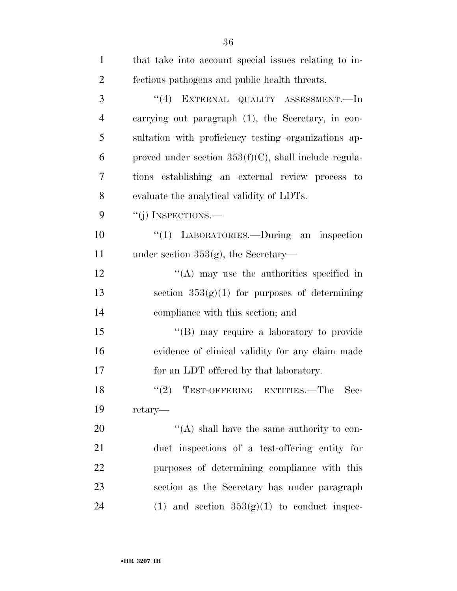| $\mathbf{1}$   |                                                          |
|----------------|----------------------------------------------------------|
|                | that take into account special issues relating to in-    |
| $\overline{2}$ | fectious pathogens and public health threats.            |
| 3              | "(4) EXTERNAL QUALITY ASSESSMENT.—In                     |
| $\overline{4}$ | carrying out paragraph (1), the Secretary, in con-       |
| 5              | sultation with proficiency testing organizations ap-     |
| 6              | proved under section $353(f)(C)$ , shall include regula- |
| 7              | tions establishing an external review process to         |
| 8              | evaluate the analytical validity of LDTs.                |
| 9              | "(j) INSPECTIONS.—                                       |
| 10             | "(1) LABORATORIES.—During an inspection                  |
| 11             | under section $353(g)$ , the Secretary—                  |
| 12             | $\lq\lq$ may use the authorities specified in            |
| 13             | section $353(g)(1)$ for purposes of determining          |
| 14             | compliance with this section; and                        |
| 15             | "(B) may require a laboratory to provide                 |
| 16             | evidence of clinical validity for any claim made         |
| 17             | for an LDT offered by that laboratory.                   |
| 18             | ``(2)<br>TEST-OFFERING ENTITIES.—The Sec-                |
| 19             | retary—                                                  |
| 20             | $\lq\lq$ shall have the same authority to con-           |
| 21             | duct inspections of a test-offering entity for           |
| 22             | purposes of determining compliance with this             |
| 23             | section as the Secretary has under paragraph             |
| 24             | (1) and section $353(g)(1)$ to conduct inspec-           |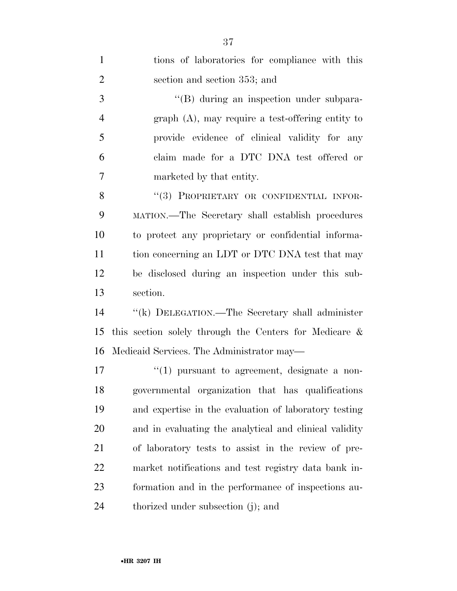| $\mathbf{1}$   | tions of laboratories for compliance with this         |
|----------------|--------------------------------------------------------|
| $\overline{2}$ | section and section 353; and                           |
| 3              | "(B) during an inspection under subpara-               |
| $\overline{4}$ | $graph(A)$ , may require a test-offering entity to     |
| 5              | provide evidence of clinical validity for any          |
| 6              | claim made for a DTC DNA test offered or               |
| 7              | marketed by that entity.                               |
| 8              | "(3) PROPRIETARY OR CONFIDENTIAL INFOR-                |
| 9              | MATION.—The Secretary shall establish procedures       |
| 10             | to protect any proprietary or confidential informa-    |
| 11             | tion concerning an LDT or DTC DNA test that may        |
| 12             | be disclosed during an inspection under this sub-      |
| 13             | section.                                               |
| 14             | "(k) DELEGATION.—The Secretary shall administer        |
| 15             | this section solely through the Centers for Medicare & |
| 16             | Medicaid Services. The Administrator may—              |
| 17             | $\lq(1)$ pursuant to agreement, designate a non-       |
| 18             | governmental organization that has qualifications      |
| 19             | and expertise in the evaluation of laboratory testing  |
| 20             | and in evaluating the analytical and clinical validity |
| 21             | of laboratory tests to assist in the review of pre-    |
| 22             | market notifications and test registry data bank in-   |
| 23             | formation and in the performance of inspections au-    |
| 24             | thorized under subsection (j); and                     |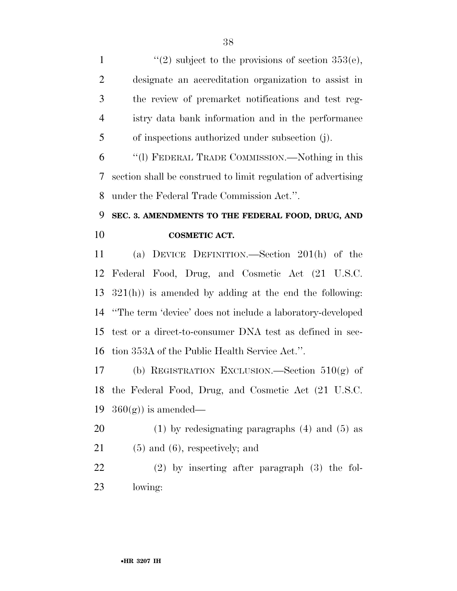$\frac{1}{2}$  subject to the provisions of section 353(e), designate an accreditation organization to assist in the review of premarket notifications and test reg- istry data bank information and in the performance of inspections authorized under subsection (j). ''(l) FEDERAL TRADE COMMISSION.—Nothing in this section shall be construed to limit regulation of advertising under the Federal Trade Commission Act.''. **SEC. 3. AMENDMENTS TO THE FEDERAL FOOD, DRUG, AND COSMETIC ACT.**  (a) DEVICE DEFINITION.—Section 201(h) of the Federal Food, Drug, and Cosmetic Act (21 U.S.C. 321(h)) is amended by adding at the end the following: ''The term 'device' does not include a laboratory-developed test or a direct-to-consumer DNA test as defined in sec-tion 353A of the Public Health Service Act.''.

 (b) REGISTRATION EXCLUSION.—Section 510(g) of the Federal Food, Drug, and Cosmetic Act (21 U.S.C. 19  $360(g)$  is amended—

 (1) by redesignating paragraphs (4) and (5) as (5) and (6), respectively; and

 (2) by inserting after paragraph (3) the fol-lowing: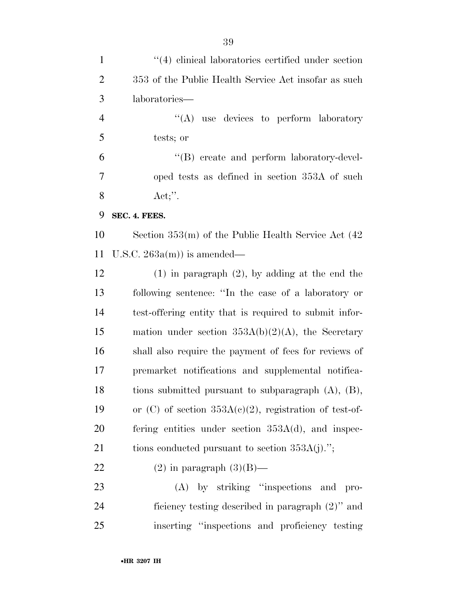| $\mathbf{1}$   | $\cdot$ (4) clinical laboratories certified under section |
|----------------|-----------------------------------------------------------|
| $\overline{2}$ | 353 of the Public Health Service Act insofar as such      |
| 3              | laboratories—                                             |
| $\overline{4}$ | $\lq\lq$ use devices to perform laboratory                |
| 5              | tests; or                                                 |
| 6              | "(B) create and perform laboratory-devel-                 |
| 7              | oped tests as defined in section 353A of such             |
| 8              | $Act;$ ".                                                 |
| 9              | SEC. 4. FEES.                                             |
| 10             | Section $353(m)$ of the Public Health Service Act $(42)$  |
| 11             | U.S.C. $263a(m)$ is amended—                              |
| 12             | $(1)$ in paragraph $(2)$ , by adding at the end the       |
| 13             | following sentence: "In the case of a laboratory or       |
| 14             | test-offering entity that is required to submit infor-    |
| 15             | mation under section $353A(b)(2)(A)$ , the Secretary      |
| 16             | shall also require the payment of fees for reviews of     |
| 17             | premarket notifications and supplemental notifica-        |
| 18             | tions submitted pursuant to subparagraph $(A)$ , $(B)$ ,  |
| 19             | or (C) of section $353A(c)(2)$ , registration of test-of- |
| 20             | fering entities under section $353A(d)$ , and inspec-     |
| 21             | tions conducted pursuant to section $353A(j)$ .";         |
| 22             | $(2)$ in paragraph $(3)(B)$ —                             |
| 23             | (A) by striking "inspections and pro-                     |
| 24             | ficiency testing described in paragraph (2)" and          |
| 25             | inserting "inspections and proficiency testing            |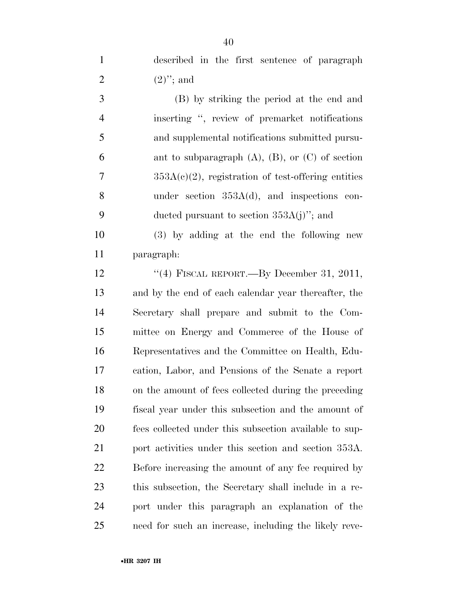described in the first sentence of paragraph 2  $(2)$ "; and

 (B) by striking the period at the end and inserting '', review of premarket notifications and supplemental notifications submitted pursu-6 ant to subparagraph  $(A)$ ,  $(B)$ , or  $(C)$  of section  $7 \qquad \qquad 353A(c)(2)$ , registration of test-offering entities under section 353A(d), and inspections con-9 ducted pursuant to section  $353A(j)$ "; and

 (3) by adding at the end the following new paragraph:

12 "(4) FISCAL REPORT.—By December 31, 2011, and by the end of each calendar year thereafter, the Secretary shall prepare and submit to the Com- mittee on Energy and Commerce of the House of Representatives and the Committee on Health, Edu- cation, Labor, and Pensions of the Senate a report on the amount of fees collected during the preceding fiscal year under this subsection and the amount of fees collected under this subsection available to sup- port activities under this section and section 353A. Before increasing the amount of any fee required by this subsection, the Secretary shall include in a re- port under this paragraph an explanation of the need for such an increase, including the likely reve